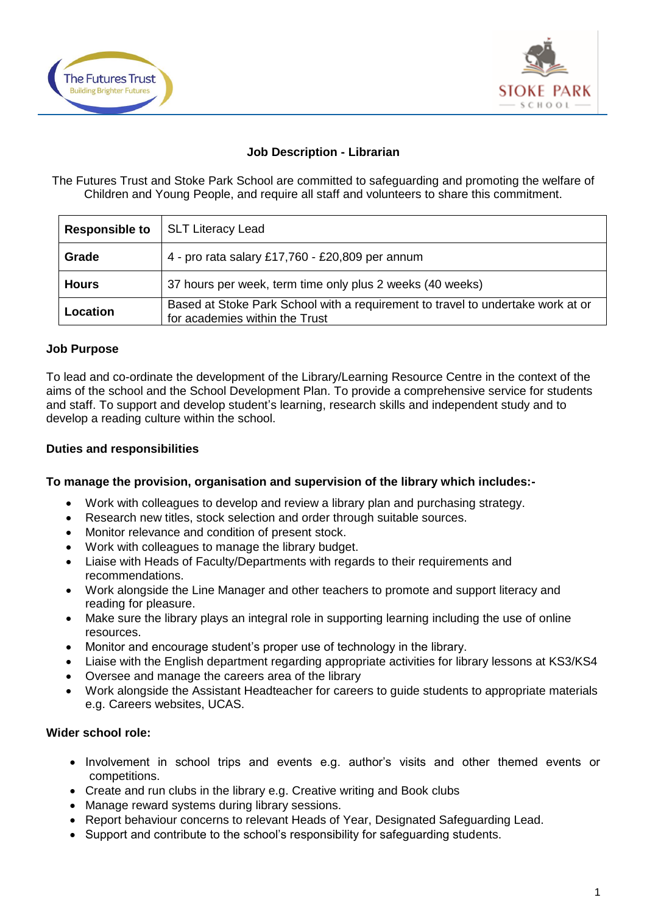



### **Job Description - Librarian**

The Futures Trust and Stoke Park School are committed to safeguarding and promoting the welfare of Children and Young People, and require all staff and volunteers to share this commitment.

| <b>Responsible to</b> | <b>SLT Literacy Lead</b>                                                                                          |
|-----------------------|-------------------------------------------------------------------------------------------------------------------|
| Grade                 | 4 - pro rata salary £17,760 - £20,809 per annum                                                                   |
| <b>Hours</b>          | 37 hours per week, term time only plus 2 weeks (40 weeks)                                                         |
| Location              | Based at Stoke Park School with a requirement to travel to undertake work at or<br>for academies within the Trust |

### **Job Purpose**

To lead and co-ordinate the development of the Library/Learning Resource Centre in the context of the aims of the school and the School Development Plan. To provide a comprehensive service for students and staff. To support and develop student's learning, research skills and independent study and to develop a reading culture within the school.

### **Duties and responsibilities**

### **To manage the provision, organisation and supervision of the library which includes:-**

- Work with colleagues to develop and review a library plan and purchasing strategy.
- Research new titles, stock selection and order through suitable sources.
- Monitor relevance and condition of present stock.
- Work with colleagues to manage the library budget.
- Liaise with Heads of Faculty/Departments with regards to their requirements and recommendations.
- Work alongside the Line Manager and other teachers to promote and support literacy and reading for pleasure.
- Make sure the library plays an integral role in supporting learning including the use of online resources.
- Monitor and encourage student's proper use of technology in the library.
- Liaise with the English department regarding appropriate activities for library lessons at KS3/KS4
- Oversee and manage the careers area of the library
- Work alongside the Assistant Headteacher for careers to guide students to appropriate materials e.g. Careers websites, UCAS.

# **Wider school role:**

- Involvement in school trips and events e.g. author's visits and other themed events or competitions.
- Create and run clubs in the library e.g. Creative writing and Book clubs
- Manage reward systems during library sessions.
- Report behaviour concerns to relevant Heads of Year, Designated Safeguarding Lead.
- Support and contribute to the school's responsibility for safeguarding students.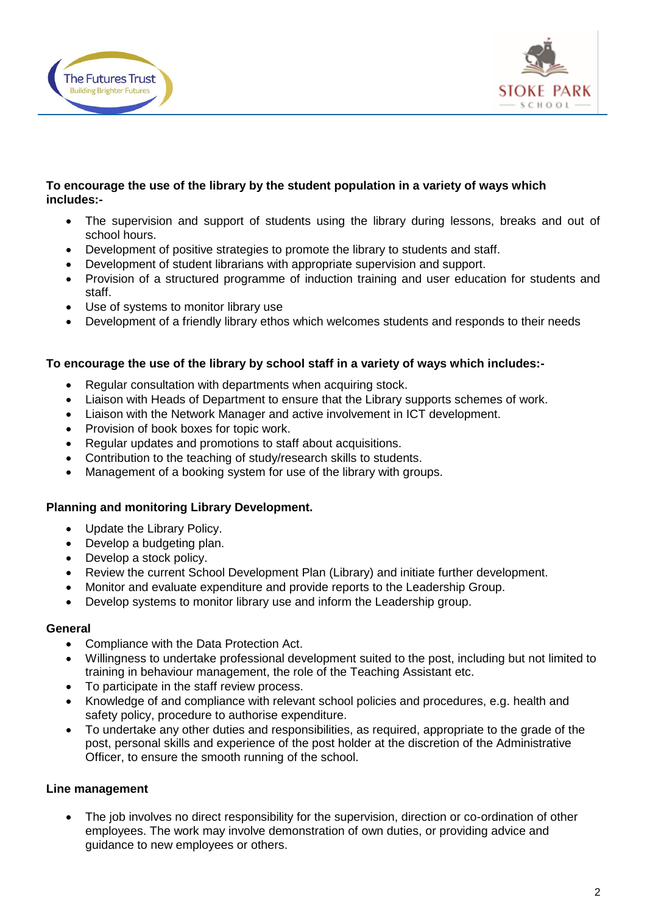



# **To encourage the use of the library by the student population in a variety of ways which includes:-**

- The supervision and support of students using the library during lessons, breaks and out of school hours.
- Development of positive strategies to promote the library to students and staff.
- Development of student librarians with appropriate supervision and support.
- Provision of a structured programme of induction training and user education for students and staff.
- Use of systems to monitor library use
- Development of a friendly library ethos which welcomes students and responds to their needs

### **To encourage the use of the library by school staff in a variety of ways which includes:-**

- Regular consultation with departments when acquiring stock.
- Liaison with Heads of Department to ensure that the Library supports schemes of work.
- Liaison with the Network Manager and active involvement in ICT development.
- Provision of book boxes for topic work.
- Regular updates and promotions to staff about acquisitions.
- Contribution to the teaching of study/research skills to students.
- Management of a booking system for use of the library with groups.

# **Planning and monitoring Library Development.**

- Update the Library Policy.
- Develop a budgeting plan.
- Develop a stock policy.
- Review the current School Development Plan (Library) and initiate further development.
- Monitor and evaluate expenditure and provide reports to the Leadership Group.
- Develop systems to monitor library use and inform the Leadership group.

### **General**

- Compliance with the Data Protection Act.
- Willingness to undertake professional development suited to the post, including but not limited to training in behaviour management, the role of the Teaching Assistant etc.
- To participate in the staff review process.
- Knowledge of and compliance with relevant school policies and procedures, e.g. health and safety policy, procedure to authorise expenditure.
- To undertake any other duties and responsibilities, as required, appropriate to the grade of the post, personal skills and experience of the post holder at the discretion of the Administrative Officer, to ensure the smooth running of the school.

# **Line management**

 The job involves no direct responsibility for the supervision, direction or co-ordination of other employees. The work may involve demonstration of own duties, or providing advice and guidance to new employees or others.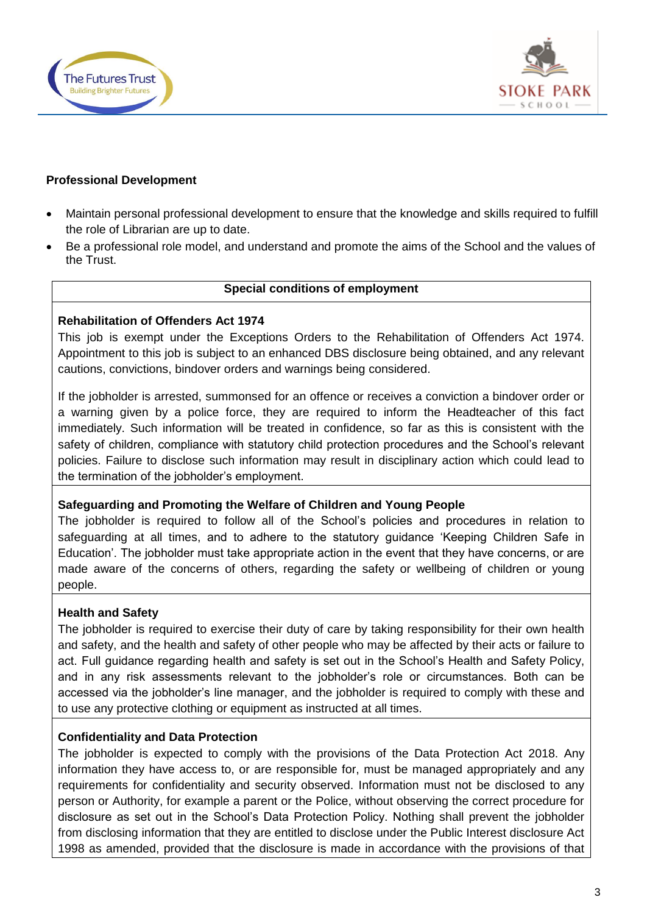



### **Professional Development**

- Maintain personal professional development to ensure that the knowledge and skills required to fulfill the role of Librarian are up to date.
- Be a professional role model, and understand and promote the aims of the School and the values of the Trust.

### **Special conditions of employment**

### **Rehabilitation of Offenders Act 1974**

This job is exempt under the Exceptions Orders to the Rehabilitation of Offenders Act 1974. Appointment to this job is subject to an enhanced DBS disclosure being obtained, and any relevant cautions, convictions, bindover orders and warnings being considered.

If the jobholder is arrested, summonsed for an offence or receives a conviction a bindover order or a warning given by a police force, they are required to inform the Headteacher of this fact immediately. Such information will be treated in confidence, so far as this is consistent with the safety of children, compliance with statutory child protection procedures and the School's relevant policies. Failure to disclose such information may result in disciplinary action which could lead to the termination of the jobholder's employment.

# **Safeguarding and Promoting the Welfare of Children and Young People**

The jobholder is required to follow all of the School's policies and procedures in relation to safeguarding at all times, and to adhere to the statutory guidance 'Keeping Children Safe in Education'. The jobholder must take appropriate action in the event that they have concerns, or are made aware of the concerns of others, regarding the safety or wellbeing of children or young people.

### **Health and Safety**

The jobholder is required to exercise their duty of care by taking responsibility for their own health and safety, and the health and safety of other people who may be affected by their acts or failure to act. Full guidance regarding health and safety is set out in the School's Health and Safety Policy, and in any risk assessments relevant to the jobholder's role or circumstances. Both can be accessed via the jobholder's line manager, and the jobholder is required to comply with these and to use any protective clothing or equipment as instructed at all times.

# **Confidentiality and Data Protection**

The jobholder is expected to comply with the provisions of the Data Protection Act 2018. Any information they have access to, or are responsible for, must be managed appropriately and any requirements for confidentiality and security observed. Information must not be disclosed to any person or Authority, for example a parent or the Police, without observing the correct procedure for disclosure as set out in the School's Data Protection Policy. Nothing shall prevent the jobholder from disclosing information that they are entitled to disclose under the Public Interest disclosure Act 1998 as amended, provided that the disclosure is made in accordance with the provisions of that